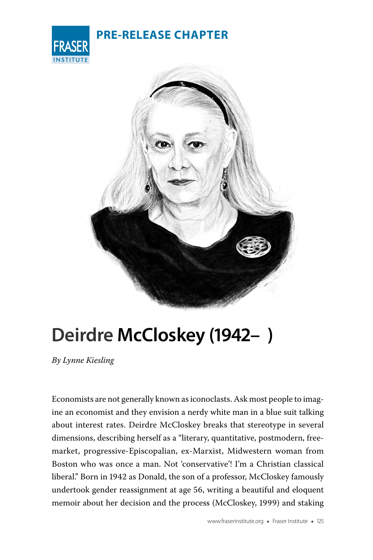| <b>FRASER</b> |
|---------------|
| NSTITUTE      |

## **PRE-RELEASE CHAPTER**



## **Deirdre McCloskey (1942– )**

*By Lynne Kiesling*

Economists are not generally known as iconoclasts. Ask most people to imagine an economist and they envision a nerdy white man in a blue suit talking about interest rates. Deirdre McCloskey breaks that stereotype in several dimensions, describing herself as a "literary, quantitative, postmodern, freemarket, progressive-Episcopalian, ex-Marxist, Midwestern woman from Boston who was once a man. Not 'conservative'! I'm a Christian classical liberal." Born in 1942 as Donald, the son of a professor, McCloskey famously undertook gender reassignment at age 56, writing a beautiful and eloquent memoir about her decision and the process (McCloskey, 1999) and staking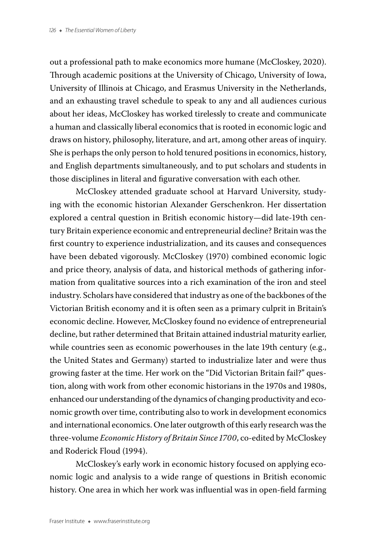out a professional path to make economics more humane (McCloskey, 2020). Through academic positions at the University of Chicago, University of Iowa, University of Illinois at Chicago, and Erasmus University in the Netherlands, and an exhausting travel schedule to speak to any and all audiences curious about her ideas, McCloskey has worked tirelessly to create and communicate a human and classically liberal economics that is rooted in economic logic and draws on history, philosophy, literature, and art, among other areas of inquiry. She is perhaps the only person to hold tenured positions in economics, history, and English departments simultaneously, and to put scholars and students in those disciplines in literal and figurative conversation with each other.

McCloskey attended graduate school at Harvard University, studying with the economic historian Alexander Gerschenkron. Her dissertation explored a central question in British economic history—did late-19th century Britain experience economic and entrepreneurial decline? Britain was the first country to experience industrialization, and its causes and consequences have been debated vigorously. McCloskey (1970) combined economic logic and price theory, analysis of data, and historical methods of gathering information from qualitative sources into a rich examination of the iron and steel industry. Scholars have considered that industry as one of the backbones of the Victorian British economy and it is often seen as a primary culprit in Britain's economic decline. However, McCloskey found no evidence of entrepreneurial decline, but rather determined that Britain attained industrial maturity earlier, while countries seen as economic powerhouses in the late 19th century (e.g., the United States and Germany) started to industrialize later and were thus growing faster at the time. Her work on the "Did Victorian Britain fail?" question, along with work from other economic historians in the 1970s and 1980s, enhanced our understanding of the dynamics of changing productivity and economic growth over time, contributing also to work in development economics and international economics. One later outgrowth of this early research was the three-volume *Economic History of Britain Since 1700*, co-edited by McCloskey and Roderick Floud (1994).

McCloskey's early work in economic history focused on applying economic logic and analysis to a wide range of questions in British economic history. One area in which her work was influential was in open-field farming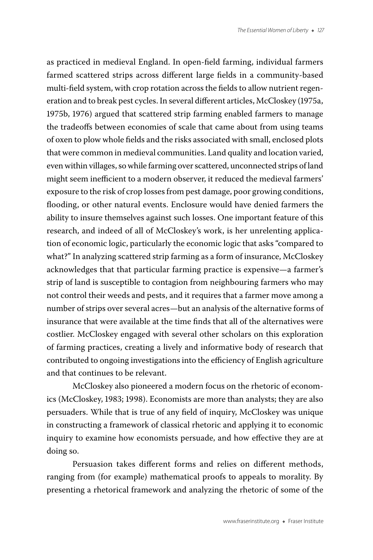as practiced in medieval England. In open-field farming, individual farmers farmed scattered strips across different large fields in a community-based multi-field system, with crop rotation across the fields to allow nutrient regeneration and to break pest cycles. In several different articles, McCloskey (1975a, 1975b, 1976) argued that scattered strip farming enabled farmers to manage the tradeoffs between economies of scale that came about from using teams of oxen to plow whole fields and the risks associated with small, enclosed plots that were common in medieval communities. Land quality and location varied, even within villages, so while farming over scattered, unconnected strips of land might seem inefficient to a modern observer, it reduced the medieval farmers' exposure to the risk of crop losses from pest damage, poor growing conditions, flooding, or other natural events. Enclosure would have denied farmers the ability to insure themselves against such losses. One important feature of this research, and indeed of all of McCloskey's work, is her unrelenting application of economic logic, particularly the economic logic that asks "compared to what?" In analyzing scattered strip farming as a form of insurance, McCloskey acknowledges that that particular farming practice is expensive—a farmer's strip of land is susceptible to contagion from neighbouring farmers who may not control their weeds and pests, and it requires that a farmer move among a number of strips over several acres—but an analysis of the alternative forms of insurance that were available at the time finds that all of the alternatives were costlier. McCloskey engaged with several other scholars on this exploration of farming practices, creating a lively and informative body of research that contributed to ongoing investigations into the efficiency of English agriculture and that continues to be relevant.

McCloskey also pioneered a modern focus on the rhetoric of economics (McCloskey, 1983; 1998). Economists are more than analysts; they are also persuaders. While that is true of any field of inquiry, McCloskey was unique in constructing a framework of classical rhetoric and applying it to economic inquiry to examine how economists persuade, and how effective they are at doing so.

Persuasion takes different forms and relies on different methods, ranging from (for example) mathematical proofs to appeals to morality. By presenting a rhetorical framework and analyzing the rhetoric of some of the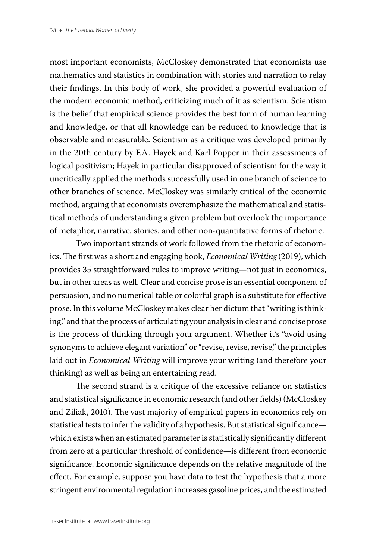most important economists, McCloskey demonstrated that economists use mathematics and statistics in combination with stories and narration to relay their findings. In this body of work, she provided a powerful evaluation of the modern economic method, criticizing much of it as scientism. Scientism is the belief that empirical science provides the best form of human learning and knowledge, or that all knowledge can be reduced to knowledge that is observable and measurable. Scientism as a critique was developed primarily in the 20th century by F.A. Hayek and Karl Popper in their assessments of logical positivism; Hayek in particular disapproved of scientism for the way it uncritically applied the methods successfully used in one branch of science to other branches of science. McCloskey was similarly critical of the economic method, arguing that economists overemphasize the mathematical and statistical methods of understanding a given problem but overlook the importance of metaphor, narrative, stories, and other non-quantitative forms of rhetoric.

Two important strands of work followed from the rhetoric of economics. The first was a short and engaging book, *Economical Writing* (2019), which provides 35 straightforward rules to improve writing—not just in economics, but in other areas as well. Clear and concise prose is an essential component of persuasion, and no numerical table or colorful graph is a substitute for effective prose. In this volume McCloskey makes clear her dictum that "writing is thinking," and that the process of articulating your analysis in clear and concise prose is the process of thinking through your argument. Whether it's "avoid using synonyms to achieve elegant variation" or "revise, revise, revise," the principles laid out in *Economical Writing* will improve your writing (and therefore your thinking) as well as being an entertaining read.

The second strand is a critique of the excessive reliance on statistics and statistical significance in economic research (and other fields) (McCloskey and Ziliak, 2010). The vast majority of empirical papers in economics rely on statistical tests to infer the validity of a hypothesis. But statistical significance which exists when an estimated parameter is statistically significantly different from zero at a particular threshold of confidence—is different from economic significance. Economic significance depends on the relative magnitude of the effect. For example, suppose you have data to test the hypothesis that a more stringent environmental regulation increases gasoline prices, and the estimated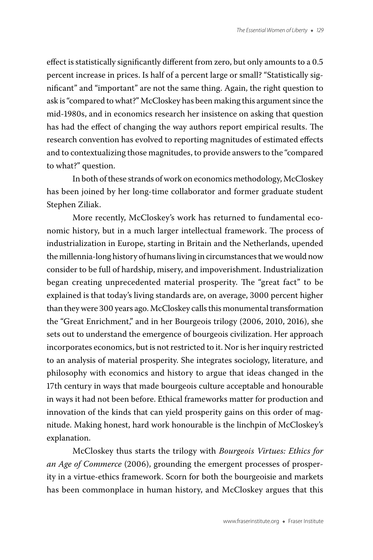effect is statistically significantly different from zero, but only amounts to a 0.5 percent increase in prices. Is half of a percent large or small? "Statistically significant" and "important" are not the same thing. Again, the right question to ask is "compared to what?" McCloskey has been making this argument since the mid-1980s, and in economics research her insistence on asking that question has had the effect of changing the way authors report empirical results. The research convention has evolved to reporting magnitudes of estimated effects and to contextualizing those magnitudes, to provide answers to the "compared to what?" question.

In both of these strands of work on economics methodology, McCloskey has been joined by her long-time collaborator and former graduate student Stephen Ziliak.

More recently, McCloskey's work has returned to fundamental economic history, but in a much larger intellectual framework. The process of industrialization in Europe, starting in Britain and the Netherlands, upended the millennia-long history of humans living in circumstances that we would now consider to be full of hardship, misery, and impoverishment. Industrialization began creating unprecedented material prosperity. The "great fact" to be explained is that today's living standards are, on average, 3000 percent higher than they were 300 years ago. McCloskey calls this monumental transformation the "Great Enrichment," and in her Bourgeois trilogy (2006, 2010, 2016), she sets out to understand the emergence of bourgeois civilization. Her approach incorporates economics, but is not restricted to it. Nor is her inquiry restricted to an analysis of material prosperity. She integrates sociology, literature, and philosophy with economics and history to argue that ideas changed in the 17th century in ways that made bourgeois culture acceptable and honourable in ways it had not been before. Ethical frameworks matter for production and innovation of the kinds that can yield prosperity gains on this order of magnitude. Making honest, hard work honourable is the linchpin of McCloskey's explanation.

McCloskey thus starts the trilogy with *Bourgeois Virtues: Ethics for an Age of Commerce* (2006), grounding the emergent processes of prosperity in a virtue-ethics framework. Scorn for both the bourgeoisie and markets has been commonplace in human history, and McCloskey argues that this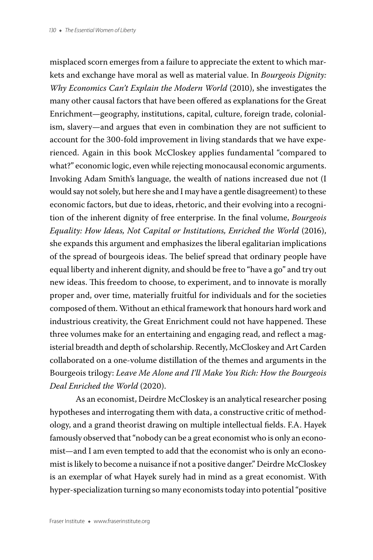misplaced scorn emerges from a failure to appreciate the extent to which markets and exchange have moral as well as material value. In *Bourgeois Dignity: Why Economics Can't Explain the Modern World* (2010), she investigates the many other causal factors that have been offered as explanations for the Great Enrichment—geography, institutions, capital, culture, foreign trade, colonialism, slavery—and argues that even in combination they are not sufficient to account for the 300-fold improvement in living standards that we have experienced. Again in this book McCloskey applies fundamental "compared to what?" economic logic, even while rejecting monocausal economic arguments. Invoking Adam Smith's language, the wealth of nations increased due not (I would say not solely, but here she and I may have a gentle disagreement) to these economic factors, but due to ideas, rhetoric, and their evolving into a recognition of the inherent dignity of free enterprise. In the final volume, *Bourgeois Equality: How Ideas, Not Capital or Institutions, Enriched the World* (2016), she expands this argument and emphasizes the liberal egalitarian implications of the spread of bourgeois ideas. The belief spread that ordinary people have equal liberty and inherent dignity, and should be free to "have a go" and try out new ideas. This freedom to choose, to experiment, and to innovate is morally proper and, over time, materially fruitful for individuals and for the societies composed of them. Without an ethical framework that honours hard work and industrious creativity, the Great Enrichment could not have happened. These three volumes make for an entertaining and engaging read, and reflect a magisterial breadth and depth of scholarship. Recently, McCloskey and Art Carden collaborated on a one-volume distillation of the themes and arguments in the Bourgeois trilogy: *Leave Me Alone and I'll Make You Rich: How the Bourgeois Deal Enriched the World* (2020).

As an economist, Deirdre McCloskey is an analytical researcher posing hypotheses and interrogating them with data, a constructive critic of methodology, and a grand theorist drawing on multiple intellectual fields. F.A. Hayek famously observed that "nobody can be a great economist who is only an economist—and I am even tempted to add that the economist who is only an economist is likely to become a nuisance if not a positive danger." Deirdre McCloskey is an exemplar of what Hayek surely had in mind as a great economist. With hyper-specialization turning so many economists today into potential "positive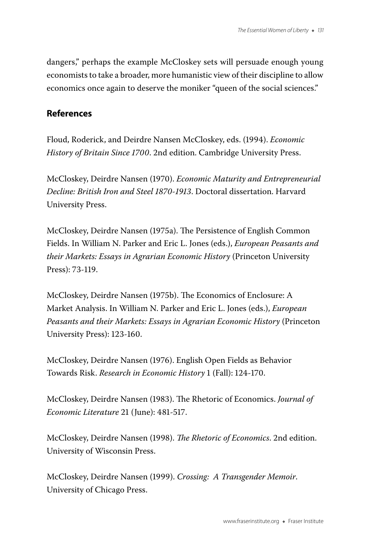dangers," perhaps the example McCloskey sets will persuade enough young economists to take a broader, more humanistic view of their discipline to allow economics once again to deserve the moniker "queen of the social sciences."

## **References**

Floud, Roderick, and Deirdre Nansen McCloskey, eds. (1994). *Economic History of Britain Since 1700*. 2nd edition. Cambridge University Press.

McCloskey, Deirdre Nansen (1970). *Economic Maturity and Entrepreneurial Decline: British Iron and Steel 1870-1913*. Doctoral dissertation. Harvard University Press.

McCloskey, Deirdre Nansen (1975a). The Persistence of English Common Fields. In William N. Parker and Eric L. Jones (eds.), *European Peasants and their Markets: Essays in Agrarian Economic History* (Princeton University Press): 73-119.

McCloskey, Deirdre Nansen (1975b). The Economics of Enclosure: A Market Analysis. In William N. Parker and Eric L. Jones (eds.), *European Peasants and their Markets: Essays in Agrarian Economic History* (Princeton University Press): 123-160.

McCloskey, Deirdre Nansen (1976). English Open Fields as Behavior Towards Risk. *Research in Economic History* 1 (Fall): 124-170.

McCloskey, Deirdre Nansen (1983). The Rhetoric of Economics. *Journal of Economic Literature* 21 (June): 481-517.

McCloskey, Deirdre Nansen (1998). *The Rhetoric of Economics*. 2nd edition. University of Wisconsin Press.

McCloskey, Deirdre Nansen (1999). *Crossing: A Transgender Memoir*. University of Chicago Press.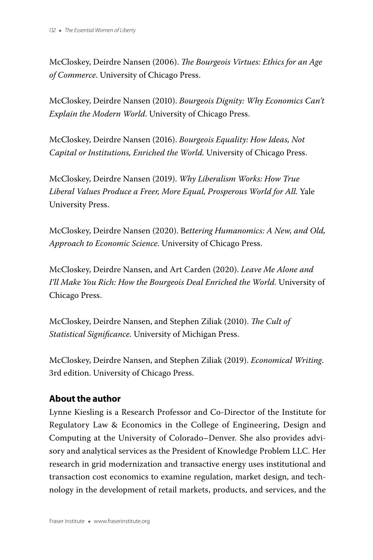McCloskey, Deirdre Nansen (2006). *The Bourgeois Virtues: Ethics for an Age of Commerce*. University of Chicago Press.

McCloskey, Deirdre Nansen (2010). *Bourgeois Dignity: Why Economics Can't Explain the Modern World*. University of Chicago Press.

McCloskey, Deirdre Nansen (2016). *Bourgeois Equality: How Ideas, Not Capital or Institutions, Enriched the World.* University of Chicago Press.

McCloskey, Deirdre Nansen (2019). *Why Liberalism Works: How True Liberal Values Produce a Freer, More Equal, Prosperous World for All.* Yale University Press.

McCloskey, Deirdre Nansen (2020). B*ettering Humanomics: A New, and Old, Approach to Economic Science*. University of Chicago Press.

McCloskey, Deirdre Nansen, and Art Carden (2020). *Leave Me Alone and I'll Make You Rich: How the Bourgeois Deal Enriched the World.* University of Chicago Press.

McCloskey, Deirdre Nansen, and Stephen Ziliak (2010). *The Cult of Statistical Significance.* University of Michigan Press.

McCloskey, Deirdre Nansen, and Stephen Ziliak (2019). *Economical Writing*. 3rd edition. University of Chicago Press.

## **About the author**

Lynne Kiesling is a Research Professor and Co-Director of the Institute for Regulatory Law & Economics in the College of Engineering, Design and Computing at the University of Colorado–Denver. She also provides advisory and analytical services as the President of Knowledge Problem LLC. Her research in grid modernization and transactive energy uses institutional and transaction cost economics to examine regulation, market design, and technology in the development of retail markets, products, and services, and the